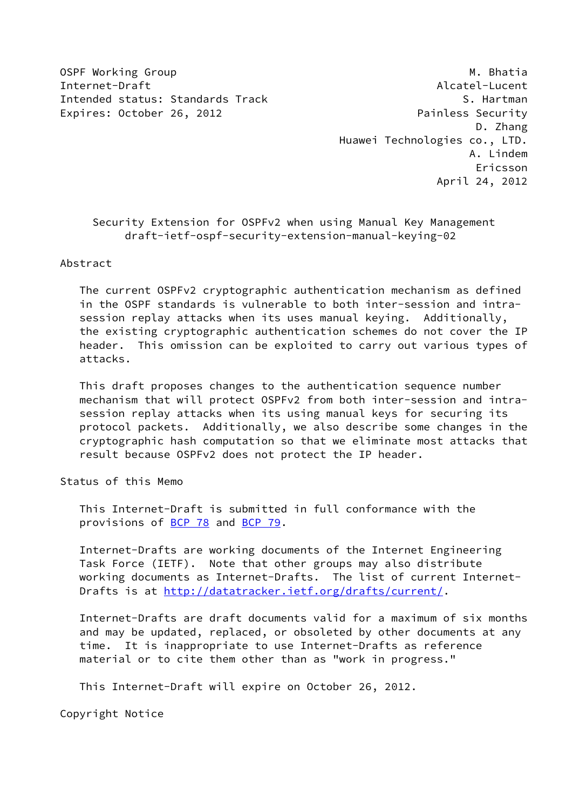OSPF Working Group and the control of the control of the control of the control of the control of the control of the control of the control of the control of the control of the control of the control of the control of the Internet-Draft Alcatel-Lucent Intended status: Standards Track Superintended S. Hartman Expires: October 26, 2012 **Painless Security** 

 D. Zhang Huawei Technologies co., LTD. A. Lindem Ericsson April 24, 2012

# Security Extension for OSPFv2 when using Manual Key Management draft-ietf-ospf-security-extension-manual-keying-02

Abstract

 The current OSPFv2 cryptographic authentication mechanism as defined in the OSPF standards is vulnerable to both inter-session and intra session replay attacks when its uses manual keying. Additionally, the existing cryptographic authentication schemes do not cover the IP header. This omission can be exploited to carry out various types of attacks.

 This draft proposes changes to the authentication sequence number mechanism that will protect OSPFv2 from both inter-session and intra session replay attacks when its using manual keys for securing its protocol packets. Additionally, we also describe some changes in the cryptographic hash computation so that we eliminate most attacks that result because OSPFv2 does not protect the IP header.

Status of this Memo

 This Internet-Draft is submitted in full conformance with the provisions of [BCP 78](https://datatracker.ietf.org/doc/pdf/bcp78) and [BCP 79](https://datatracker.ietf.org/doc/pdf/bcp79).

 Internet-Drafts are working documents of the Internet Engineering Task Force (IETF). Note that other groups may also distribute working documents as Internet-Drafts. The list of current Internet- Drafts is at<http://datatracker.ietf.org/drafts/current/>.

 Internet-Drafts are draft documents valid for a maximum of six months and may be updated, replaced, or obsoleted by other documents at any time. It is inappropriate to use Internet-Drafts as reference material or to cite them other than as "work in progress."

This Internet-Draft will expire on October 26, 2012.

Copyright Notice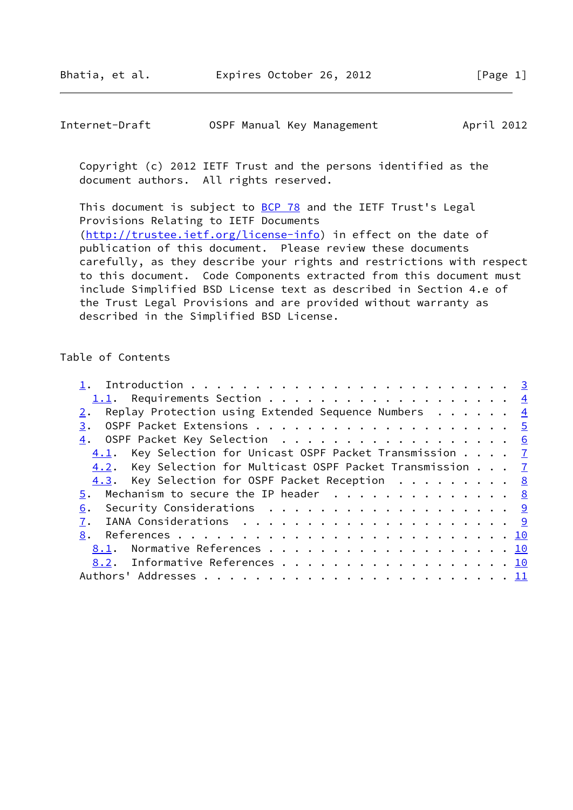| Internet-Draft | OSPF Manual Key Management | April 2012 |
|----------------|----------------------------|------------|
|----------------|----------------------------|------------|

 Copyright (c) 2012 IETF Trust and the persons identified as the document authors. All rights reserved.

This document is subject to **[BCP 78](https://datatracker.ietf.org/doc/pdf/bcp78)** and the IETF Trust's Legal Provisions Relating to IETF Documents [\(http://trustee.ietf.org/license-info](http://trustee.ietf.org/license-info)) in effect on the date of publication of this document. Please review these documents carefully, as they describe your rights and restrictions with respect to this document. Code Components extracted from this document must include Simplified BSD License text as described in Section 4.e of the Trust Legal Provisions and are provided without warranty as described in the Simplified BSD License.

### Table of Contents

| Replay Protection using Extended Sequence Numbers $\ldots \ldots$ $\frac{4}{5}$ |  |  |
|---------------------------------------------------------------------------------|--|--|
|                                                                                 |  |  |
| 4. OSPF Packet Key Selection 6                                                  |  |  |
| 4.1. Key Selection for Unicast OSPF Packet Transmission 7                       |  |  |
| 4.2. Key Selection for Multicast OSPF Packet Transmission 7                     |  |  |
| 4.3. Key Selection for OSPF Packet Reception 8                                  |  |  |
| 5. Mechanism to secure the IP header $\cdots$ 8                                 |  |  |
| 6.                                                                              |  |  |
|                                                                                 |  |  |
|                                                                                 |  |  |
| 8.1. Normative References 10                                                    |  |  |
| 8.2. Informative References 10                                                  |  |  |
|                                                                                 |  |  |
|                                                                                 |  |  |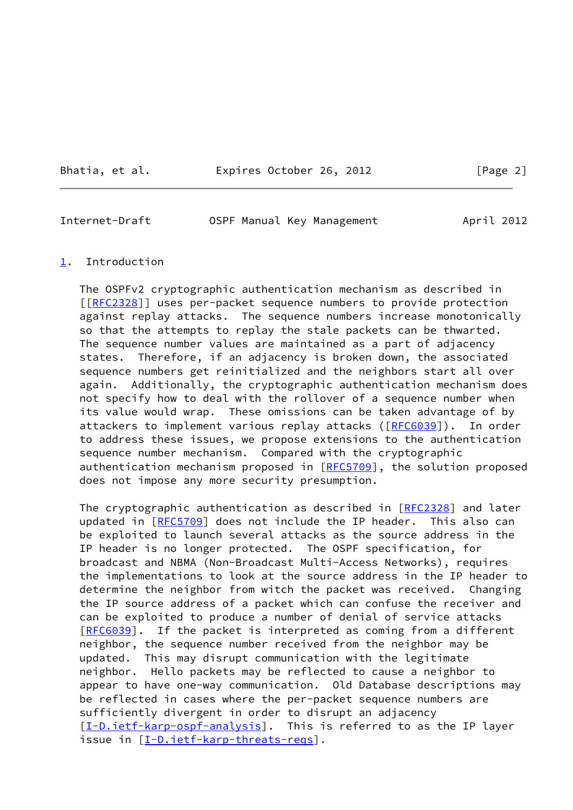Bhatia, et al. **Expires October 26, 2012** [Page 2]

<span id="page-2-1"></span>Internet-Draft OSPF Manual Key Management April 2012

#### <span id="page-2-0"></span>[1](#page-2-0). Introduction

 The OSPFv2 cryptographic authentication mechanism as described in [[\[RFC2328](https://datatracker.ietf.org/doc/pdf/rfc2328)]] uses per-packet sequence numbers to provide protection against replay attacks. The sequence numbers increase monotonically so that the attempts to replay the stale packets can be thwarted. The sequence number values are maintained as a part of adjacency states. Therefore, if an adjacency is broken down, the associated sequence numbers get reinitialized and the neighbors start all over again. Additionally, the cryptographic authentication mechanism does not specify how to deal with the rollover of a sequence number when its value would wrap. These omissions can be taken advantage of by attackers to implement various replay attacks ([\[RFC6039](https://datatracker.ietf.org/doc/pdf/rfc6039)]). In order to address these issues, we propose extensions to the authentication sequence number mechanism. Compared with the cryptographic authentication mechanism proposed in [\[RFC5709](https://datatracker.ietf.org/doc/pdf/rfc5709)], the solution proposed does not impose any more security presumption.

The cryptographic authentication as described in [\[RFC2328](https://datatracker.ietf.org/doc/pdf/rfc2328)] and later updated in [[RFC5709\]](https://datatracker.ietf.org/doc/pdf/rfc5709) does not include the IP header. This also can be exploited to launch several attacks as the source address in the IP header is no longer protected. The OSPF specification, for broadcast and NBMA (Non-Broadcast Multi-Access Networks), requires the implementations to look at the source address in the IP header to determine the neighbor from witch the packet was received. Changing the IP source address of a packet which can confuse the receiver and can be exploited to produce a number of denial of service attacks [\[RFC6039](https://datatracker.ietf.org/doc/pdf/rfc6039)]. If the packet is interpreted as coming from a different neighbor, the sequence number received from the neighbor may be updated. This may disrupt communication with the legitimate neighbor. Hello packets may be reflected to cause a neighbor to appear to have one-way communication. Old Database descriptions may be reflected in cases where the per-packet sequence numbers are sufficiently divergent in order to disrupt an adjacency [\[I-D.ietf-karp-ospf-analysis](#page-10-4)]. This is referred to as the IP layer issue in [\[I-D.ietf-karp-threats-reqs\]](#page-10-5).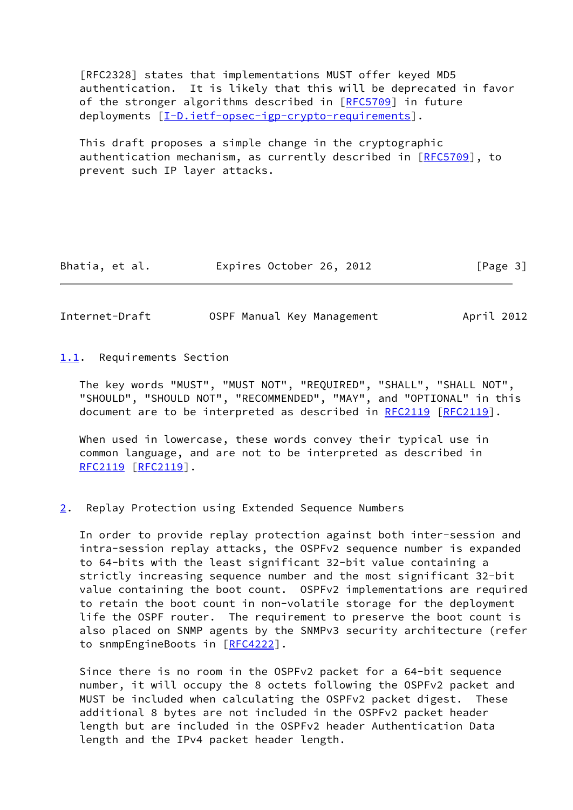[RFC2328] states that implementations MUST offer keyed MD5 authentication. It is likely that this will be deprecated in favor of the stronger algorithms described in [\[RFC5709](https://datatracker.ietf.org/doc/pdf/rfc5709)] in future deployments  $[\underline{I-D.i}etf-opsec-igp-crypto-requirements]$ .

 This draft proposes a simple change in the cryptographic authentication mechanism, as currently described in [\[RFC5709](https://datatracker.ietf.org/doc/pdf/rfc5709)], to prevent such IP layer attacks.

| Bhatia, et al. | Expires October 26, 2012 |  | [Page 3] |
|----------------|--------------------------|--|----------|
|----------------|--------------------------|--|----------|

<span id="page-3-1"></span>Internet-Draft OSPF Manual Key Management April 2012

<span id="page-3-0"></span>[1.1](#page-3-0). Requirements Section

 The key words "MUST", "MUST NOT", "REQUIRED", "SHALL", "SHALL NOT", "SHOULD", "SHOULD NOT", "RECOMMENDED", "MAY", and "OPTIONAL" in this document are to be interpreted as described in [RFC2119](https://datatracker.ietf.org/doc/pdf/rfc2119) [\[RFC2119](https://datatracker.ietf.org/doc/pdf/rfc2119)].

 When used in lowercase, these words convey their typical use in common language, and are not to be interpreted as described in [RFC2119](https://datatracker.ietf.org/doc/pdf/rfc2119) [\[RFC2119](https://datatracker.ietf.org/doc/pdf/rfc2119)].

## <span id="page-3-2"></span>[2](#page-3-2). Replay Protection using Extended Sequence Numbers

 In order to provide replay protection against both inter-session and intra-session replay attacks, the OSPFv2 sequence number is expanded to 64-bits with the least significant 32-bit value containing a strictly increasing sequence number and the most significant 32-bit value containing the boot count. OSPFv2 implementations are required to retain the boot count in non-volatile storage for the deployment life the OSPF router. The requirement to preserve the boot count is also placed on SNMP agents by the SNMPv3 security architecture (refer to snmpEngineBoots in [[RFC4222](https://datatracker.ietf.org/doc/pdf/rfc4222)].

 Since there is no room in the OSPFv2 packet for a 64-bit sequence number, it will occupy the 8 octets following the OSPFv2 packet and MUST be included when calculating the OSPFv2 packet digest. These additional 8 bytes are not included in the OSPFv2 packet header length but are included in the OSPFv2 header Authentication Data length and the IPv4 packet header length.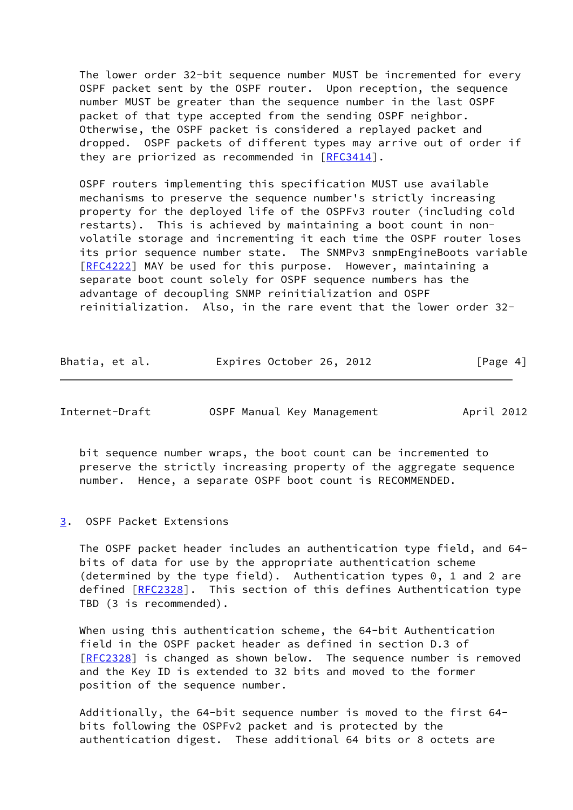The lower order 32-bit sequence number MUST be incremented for every OSPF packet sent by the OSPF router. Upon reception, the sequence number MUST be greater than the sequence number in the last OSPF packet of that type accepted from the sending OSPF neighbor. Otherwise, the OSPF packet is considered a replayed packet and dropped. OSPF packets of different types may arrive out of order if they are priorized as recommended in [\[RFC3414](https://datatracker.ietf.org/doc/pdf/rfc3414)].

 OSPF routers implementing this specification MUST use available mechanisms to preserve the sequence number's strictly increasing property for the deployed life of the OSPFv3 router (including cold restarts). This is achieved by maintaining a boot count in non volatile storage and incrementing it each time the OSPF router loses its prior sequence number state. The SNMPv3 snmpEngineBoots variable [\[RFC4222](https://datatracker.ietf.org/doc/pdf/rfc4222)] MAY be used for this purpose. However, maintaining a separate boot count solely for OSPF sequence numbers has the advantage of decoupling SNMP reinitialization and OSPF reinitialization. Also, in the rare event that the lower order 32-

| Bhatia, et al. | Expires October 26, 2012 |  | [Page 4] |
|----------------|--------------------------|--|----------|
|----------------|--------------------------|--|----------|

<span id="page-4-1"></span>

OSPF Manual Key Management April 2012

 bit sequence number wraps, the boot count can be incremented to preserve the strictly increasing property of the aggregate sequence number. Hence, a separate OSPF boot count is RECOMMENDED.

<span id="page-4-0"></span>[3](#page-4-0). OSPF Packet Extensions

 The OSPF packet header includes an authentication type field, and 64 bits of data for use by the appropriate authentication scheme (determined by the type field). Authentication types 0, 1 and 2 are defined [\[RFC2328](https://datatracker.ietf.org/doc/pdf/rfc2328)]. This section of this defines Authentication type TBD (3 is recommended).

 When using this authentication scheme, the 64-bit Authentication field in the OSPF packet header as defined in section D.3 of [\[RFC2328](https://datatracker.ietf.org/doc/pdf/rfc2328)] is changed as shown below. The sequence number is removed and the Key ID is extended to 32 bits and moved to the former position of the sequence number.

 Additionally, the 64-bit sequence number is moved to the first 64 bits following the OSPFv2 packet and is protected by the authentication digest. These additional 64 bits or 8 octets are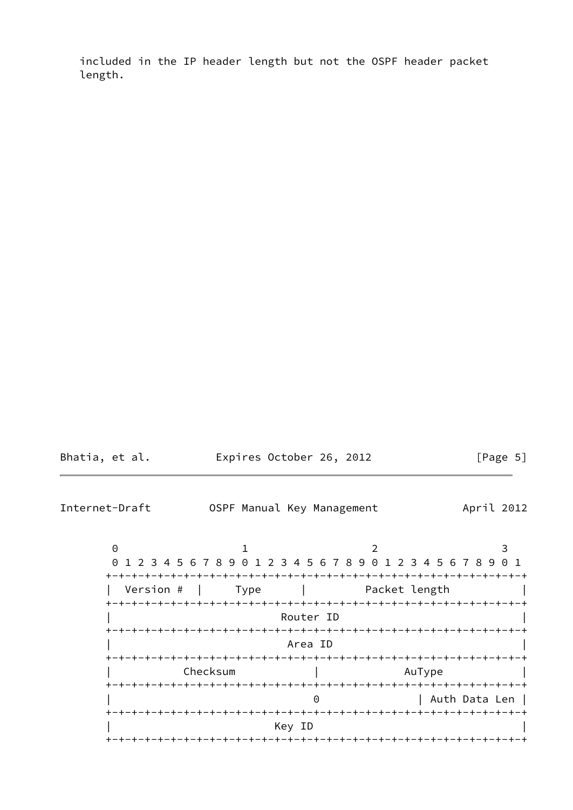included in the IP header length but not the OSPF header packet length.

| Bhatia, et al. | Expires October 26, 2012 | [Page 5] |
|----------------|--------------------------|----------|
|                |                          |          |

<span id="page-5-0"></span>Internet-Draft OSPF Manual Key Management April 2012  $0$  1 2 3 0 1 2 3 4 5 6 7 8 9 0 1 2 3 4 5 6 7 8 9 0 1 2 3 4 5 6 7 8 9 0 1 +-+-+-+-+-+-+-+-+-+-+-+-+-+-+-+-+-+-+-+-+-+-+-+-+-+-+-+-+-+-+-+-+ | Version # | Type | Packet length | +-+-+-+-+-+-+-+-+-+-+-+-+-+-+-+-+-+-+-+-+-+-+-+-+-+-+-+-+-+-+-+-+ Router ID +-+-+-+-+-+-+-+-+-+-+-+-+-+-+-+-+-+-+-+-+-+-+-+-+-+-+-+-+-+-+-+-+ | Area ID | +-+-+-+-+-+-+-+-+-+-+-+-+-+-+-+-+-+-+-+-+-+-+-+-+-+-+-+-+-+-+-+-+ | Checksum | AuType | +-+-+-+-+-+-+-+-+-+-+-+-+-+-+-+-+-+-+-+-+-+-+-+-+-+-+-+-+-+-+-+-+ | Auth Data Len | +-+-+-+-+-+-+-+-+-+-+-+-+-+-+-+-+-+-+-+-+-+-+-+-+-+-+-+-+-+-+-+-+ | Key ID | +-+-+-+-+-+-+-+-+-+-+-+-+-+-+-+-+-+-+-+-+-+-+-+-+-+-+-+-+-+-+-+-+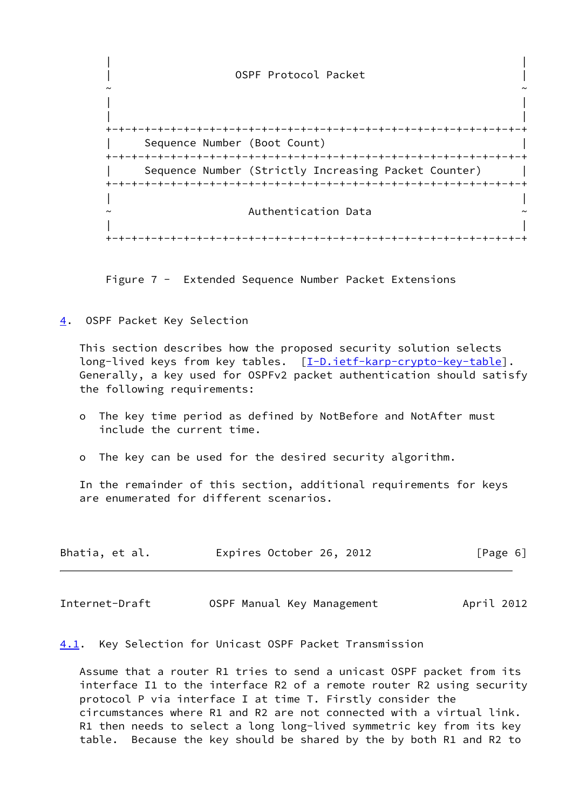| | 0SPF Protocol Packet ~ ~ | | | | +-+-+-+-+-+-+-+-+-+-+-+-+-+-+-+-+-+-+-+-+-+-+-+-+-+-+-+-+-+-+-+-+ Sequence Number (Boot Count) +-+-+-+-+-+-+-+-+-+-+-+-+-+-+-+-+-+-+-+-+-+-+-+-+-+-+-+-+-+-+-+-+ Sequence Number (Strictly Increasing Packet Counter) | +-+-+-+-+-+-+-+-+-+-+-+-+-+-+-+-+-+-+-+-+-+-+-+-+-+-+-+-+-+-+-+-+ | | Authentication Data | | +-+-+-+-+-+-+-+-+-+-+-+-+-+-+-+-+-+-+-+-+-+-+-+-+-+-+-+-+-+-+-+-+

Figure 7 - Extended Sequence Number Packet Extensions

<span id="page-6-0"></span>[4](#page-6-0). OSPF Packet Key Selection

 This section describes how the proposed security solution selects long-lived keys from key tables. [[I-D.ietf-karp-crypto-key-table](#page-10-7)]. Generally, a key used for OSPFv2 packet authentication should satisfy the following requirements:

- o The key time period as defined by NotBefore and NotAfter must include the current time.
- o The key can be used for the desired security algorithm.

 In the remainder of this section, additional requirements for keys are enumerated for different scenarios.

| Bhatia, et al. | Expires October 26, 2012 |  | [Page 6] |
|----------------|--------------------------|--|----------|
|----------------|--------------------------|--|----------|

<span id="page-6-2"></span>Internet-Draft **OSPF Manual Key Management** April 2012

<span id="page-6-1"></span>[4.1](#page-6-1). Key Selection for Unicast OSPF Packet Transmission

 Assume that a router R1 tries to send a unicast OSPF packet from its interface I1 to the interface R2 of a remote router R2 using security protocol P via interface I at time T. Firstly consider the circumstances where R1 and R2 are not connected with a virtual link. R1 then needs to select a long long-lived symmetric key from its key table. Because the key should be shared by the by both R1 and R2 to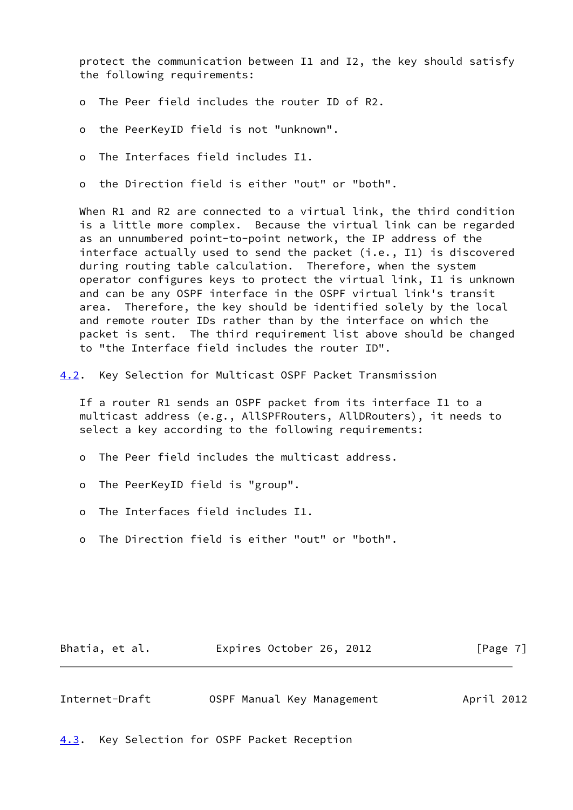protect the communication between I1 and I2, the key should satisfy the following requirements:

- o The Peer field includes the router ID of R2.
- o the PeerKeyID field is not "unknown".
- o The Interfaces field includes I1.

o the Direction field is either "out" or "both".

When R1 and R2 are connected to a virtual link, the third condition is a little more complex. Because the virtual link can be regarded as an unnumbered point-to-point network, the IP address of the interface actually used to send the packet (i.e., I1) is discovered during routing table calculation. Therefore, when the system operator configures keys to protect the virtual link, I1 is unknown and can be any OSPF interface in the OSPF virtual link's transit area. Therefore, the key should be identified solely by the local and remote router IDs rather than by the interface on which the packet is sent. The third requirement list above should be changed to "the Interface field includes the router ID".

<span id="page-7-0"></span>[4.2](#page-7-0). Key Selection for Multicast OSPF Packet Transmission

 If a router R1 sends an OSPF packet from its interface I1 to a multicast address (e.g., AllSPFRouters, AllDRouters), it needs to select a key according to the following requirements:

- o The Peer field includes the multicast address.
- o The PeerKeyID field is "group".
- o The Interfaces field includes I1.
- o The Direction field is either "out" or "both".

| Bhatia, et al. | Expires October 26, 2012 |  | [Page 7] |
|----------------|--------------------------|--|----------|
|----------------|--------------------------|--|----------|

<span id="page-7-2"></span>

| Internet-Draft | OSPF Manual Key Management | April 2012 |
|----------------|----------------------------|------------|
|----------------|----------------------------|------------|

<span id="page-7-1"></span>[4.3](#page-7-1). Key Selection for OSPF Packet Reception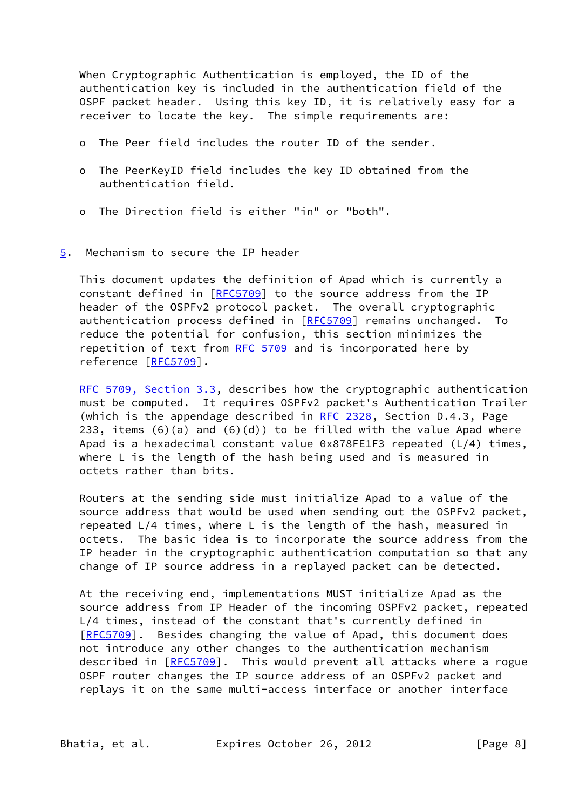When Cryptographic Authentication is employed, the ID of the authentication key is included in the authentication field of the OSPF packet header. Using this key ID, it is relatively easy for a receiver to locate the key. The simple requirements are:

- o The Peer field includes the router ID of the sender.
- o The PeerKeyID field includes the key ID obtained from the authentication field.
- o The Direction field is either "in" or "both".
- <span id="page-8-0"></span>[5](#page-8-0). Mechanism to secure the IP header

 This document updates the definition of Apad which is currently a constant defined in [\[RFC5709](https://datatracker.ietf.org/doc/pdf/rfc5709)] to the source address from the IP header of the OSPFv2 protocol packet. The overall cryptographic authentication process defined in [[RFC5709](https://datatracker.ietf.org/doc/pdf/rfc5709)] remains unchanged. To reduce the potential for confusion, this section minimizes the repetition of text from [RFC 5709](https://datatracker.ietf.org/doc/pdf/rfc5709) and is incorporated here by reference [[RFC5709](https://datatracker.ietf.org/doc/pdf/rfc5709)].

[RFC 5709, Section](https://datatracker.ietf.org/doc/pdf/rfc5709#section-3.3) 3.3, describes how the cryptographic authentication must be computed. It requires OSPFv2 packet's Authentication Trailer (which is the appendage described in RFC  $2328$ , Section D.4.3, Page 233, items  $(6)(a)$  and  $(6)(d)$  to be filled with the value Apad where Apad is a hexadecimal constant value 0x878FE1F3 repeated (L/4) times, where L is the length of the hash being used and is measured in octets rather than bits.

 Routers at the sending side must initialize Apad to a value of the source address that would be used when sending out the OSPFv2 packet, repeated L/4 times, where L is the length of the hash, measured in octets. The basic idea is to incorporate the source address from the IP header in the cryptographic authentication computation so that any change of IP source address in a replayed packet can be detected.

 At the receiving end, implementations MUST initialize Apad as the source address from IP Header of the incoming OSPFv2 packet, repeated L/4 times, instead of the constant that's currently defined in [\[RFC5709](https://datatracker.ietf.org/doc/pdf/rfc5709)]. Besides changing the value of Apad, this document does not introduce any other changes to the authentication mechanism described in [\[RFC5709](https://datatracker.ietf.org/doc/pdf/rfc5709)]. This would prevent all attacks where a rogue OSPF router changes the IP source address of an OSPFv2 packet and replays it on the same multi-access interface or another interface

Bhatia, et al. Expires October 26, 2012 [Page 8]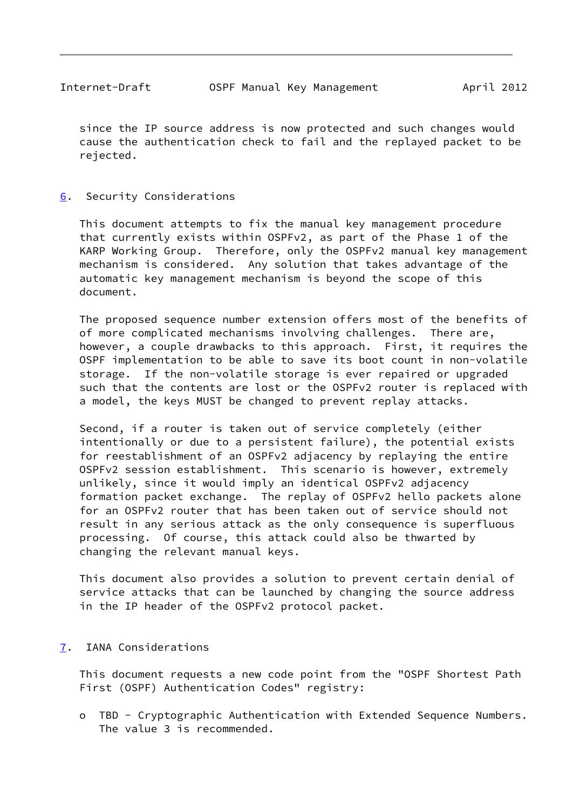<span id="page-9-1"></span> since the IP source address is now protected and such changes would cause the authentication check to fail and the replayed packet to be rejected.

## <span id="page-9-0"></span>[6](#page-9-0). Security Considerations

 This document attempts to fix the manual key management procedure that currently exists within OSPFv2, as part of the Phase 1 of the KARP Working Group. Therefore, only the OSPFv2 manual key management mechanism is considered. Any solution that takes advantage of the automatic key management mechanism is beyond the scope of this document.

 The proposed sequence number extension offers most of the benefits of of more complicated mechanisms involving challenges. There are, however, a couple drawbacks to this approach. First, it requires the OSPF implementation to be able to save its boot count in non-volatile storage. If the non-volatile storage is ever repaired or upgraded such that the contents are lost or the OSPFv2 router is replaced with a model, the keys MUST be changed to prevent replay attacks.

 Second, if a router is taken out of service completely (either intentionally or due to a persistent failure), the potential exists for reestablishment of an OSPFv2 adjacency by replaying the entire OSPFv2 session establishment. This scenario is however, extremely unlikely, since it would imply an identical OSPFv2 adjacency formation packet exchange. The replay of OSPFv2 hello packets alone for an OSPFv2 router that has been taken out of service should not result in any serious attack as the only consequence is superfluous processing. Of course, this attack could also be thwarted by changing the relevant manual keys.

 This document also provides a solution to prevent certain denial of service attacks that can be launched by changing the source address in the IP header of the OSPFv2 protocol packet.

# <span id="page-9-2"></span>[7](#page-9-2). IANA Considerations

 This document requests a new code point from the "OSPF Shortest Path First (OSPF) Authentication Codes" registry:

 o TBD - Cryptographic Authentication with Extended Sequence Numbers. The value 3 is recommended.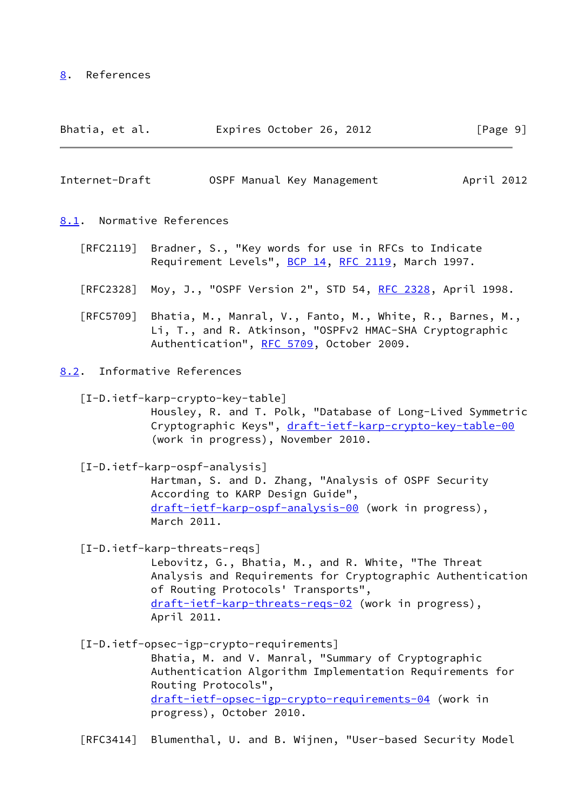### <span id="page-10-0"></span>[8](#page-10-0). References

| Bhatia, et al. | Expires October 26, 2012 |  | [Page 9] |
|----------------|--------------------------|--|----------|
|----------------|--------------------------|--|----------|

<span id="page-10-1"></span>

| Internet-Draft |  | OSPF Manual Key Management | April 2012 |  |
|----------------|--|----------------------------|------------|--|
|                |  |                            |            |  |

#### <span id="page-10-2"></span>[8.1](#page-10-2). Normative References

- [RFC2119] Bradner, S., "Key words for use in RFCs to Indicate Requirement Levels", [BCP 14](https://datatracker.ietf.org/doc/pdf/bcp14), [RFC 2119](https://datatracker.ietf.org/doc/pdf/rfc2119), March 1997.
- [RFC2328] Moy, J., "OSPF Version 2", STD 54, [RFC 2328](https://datatracker.ietf.org/doc/pdf/rfc2328), April 1998.
- [RFC5709] Bhatia, M., Manral, V., Fanto, M., White, R., Barnes, M., Li, T., and R. Atkinson, "OSPFv2 HMAC-SHA Cryptographic Authentication", [RFC 5709,](https://datatracker.ietf.org/doc/pdf/rfc5709) October 2009.

### <span id="page-10-3"></span>[8.2](#page-10-3). Informative References

<span id="page-10-7"></span>[I-D.ietf-karp-crypto-key-table]

 Housley, R. and T. Polk, "Database of Long-Lived Symmetric Cryptographic Keys", [draft-ietf-karp-crypto-key-table-00](https://datatracker.ietf.org/doc/pdf/draft-ietf-karp-crypto-key-table-00) (work in progress), November 2010.

#### <span id="page-10-4"></span>[I-D.ietf-karp-ospf-analysis]

 Hartman, S. and D. Zhang, "Analysis of OSPF Security According to KARP Design Guide", [draft-ietf-karp-ospf-analysis-00](https://datatracker.ietf.org/doc/pdf/draft-ietf-karp-ospf-analysis-00) (work in progress), March 2011.

<span id="page-10-5"></span>[I-D.ietf-karp-threats-reqs]

 Lebovitz, G., Bhatia, M., and R. White, "The Threat Analysis and Requirements for Cryptographic Authentication of Routing Protocols' Transports", [draft-ietf-karp-threats-reqs-02](https://datatracker.ietf.org/doc/pdf/draft-ietf-karp-threats-reqs-02) (work in progress), April 2011.

<span id="page-10-6"></span>[I-D.ietf-opsec-igp-crypto-requirements]

 Bhatia, M. and V. Manral, "Summary of Cryptographic Authentication Algorithm Implementation Requirements for Routing Protocols", [draft-ietf-opsec-igp-crypto-requirements-04](https://datatracker.ietf.org/doc/pdf/draft-ietf-opsec-igp-crypto-requirements-04) (work in progress), October 2010.

[RFC3414] Blumenthal, U. and B. Wijnen, "User-based Security Model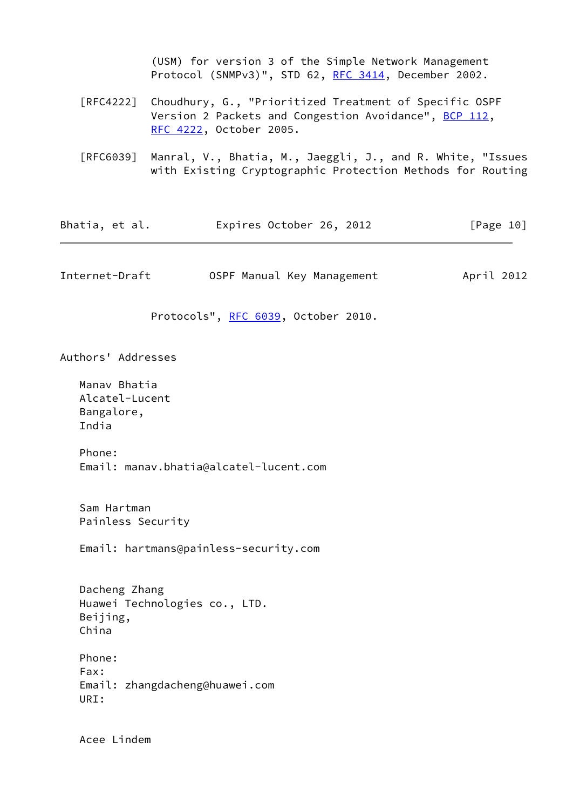(USM) for version 3 of the Simple Network Management Protocol (SNMPv3)", STD 62, [RFC 3414,](https://datatracker.ietf.org/doc/pdf/rfc3414) December 2002.

- [RFC4222] Choudhury, G., "Prioritized Treatment of Specific OSPF Version 2 Packets and Congestion Avoidance", [BCP 112](https://datatracker.ietf.org/doc/pdf/bcp112), [RFC 4222,](https://datatracker.ietf.org/doc/pdf/rfc4222) October 2005.
- [RFC6039] Manral, V., Bhatia, M., Jaeggli, J., and R. White, "Issues with Existing Cryptographic Protection Methods for Routing

<span id="page-11-0"></span>

| Bhatia, et al.                                                      | Expires October 26, 2012               | [Page 10]  |
|---------------------------------------------------------------------|----------------------------------------|------------|
| Internet-Draft                                                      | OSPF Manual Key Management             | April 2012 |
|                                                                     | Protocols", RFC 6039, October 2010.    |            |
| Authors' Addresses                                                  |                                        |            |
| Manav Bhatia<br>Alcatel-Lucent<br>Bangalore,<br>India               |                                        |            |
| Phone:                                                              | Email: manav.bhatia@alcatel-lucent.com |            |
| Sam Hartman<br>Painless Security                                    |                                        |            |
|                                                                     | Email: hartmans@painless-security.com  |            |
| Dacheng Zhang<br>Huawei Technologies co., LTD.<br>Beijing,<br>China |                                        |            |
| Phone:<br>Fax:<br>Email: zhangdacheng@huawei.com<br>URI:            |                                        |            |
|                                                                     |                                        |            |

Acee Lindem